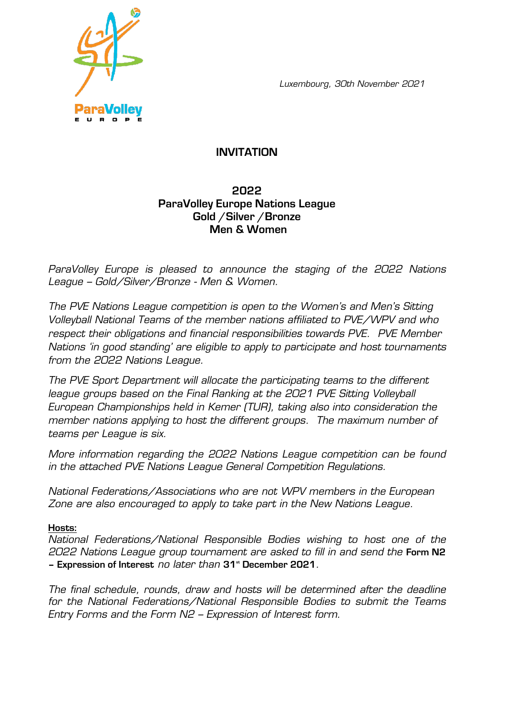*Luxembourg, 30th November 2021*



# **INVITATION**

## **2022 ParaVolley Europe Nations League Gold /Silver /Bronze Men & Women**

*ParaVolley Europe is pleased to announce the staging of the 2022 Nations League – Gold/Silver/Bronze - Men & Women.*

*The PVE Nations League competition is open to the Women's and Men's Sitting Volleyball National Teams of the member nations affiliated to PVE/WPV and who respect their obligations and financial responsibilities towards PVE. PVE Member Nations 'in good standing' are eligible to apply to participate and host tournaments from the 2022 Nations League.*

*The PVE Sport Department will allocate the participating teams to the different league groups based on the Final Ranking at the 2021 PVE Sitting Volleyball European Championships held in Kemer (TUR), taking also into consideration the member nations applying to host the different groups. The maximum number of teams per League is six.* 

*More information regarding the 2022 Nations League competition can be found in the attached PVE Nations League General Competition Regulations.* 

*National Federations/Associations who are not WPV members in the European Zone are also encouraged to apply to take part in the New Nations League.* 

### **Hosts:**

*National Federations/National Responsible Bodies wishing to host one of the 2022 Nations League group tournament are asked to fill in and send the* **Form N2 – Expression of Interest** *no later than* **31st December 2021***.*

*The final schedule, rounds, draw and hosts will be determined after the deadline for the National Federations/National Responsible Bodies to submit the Teams Entry Forms and the Form N2 – Expression of Interest form.*